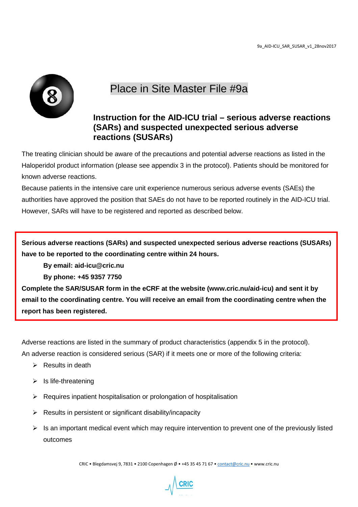

## Place in Site Master File #9a

## **Instruction for the AID-ICU trial – serious adverse reactions (SARs) and suspected unexpected serious adverse reactions (SUSARs)**

The treating clinician should be aware of the precautions and potential adverse reactions as listed in the Haloperidol product information (please see appendix 3 in the protocol). Patients should be monitored for known adverse reactions.

Because patients in the intensive care unit experience numerous serious adverse events (SAEs) the authorities have approved the position that SAEs do not have to be reported routinely in the AID-ICU trial. However, SARs will have to be registered and reported as described below.

**Serious adverse reactions (SARs) and suspected unexpected serious adverse reactions (SUSARs) have to be reported to the coordinating centre within 24 hours.** 

**By email: aid-icu@cric.nu** 

**By phone: +45 9357 7750**

**Complete the SAR/SUSAR form in the eCRF at the website (www.cric.nu/aid-icu) and sent it by email to the coordinating centre. You will receive an email from the coordinating centre when the report has been registered.**

Adverse reactions are listed in the summary of product characteristics (appendix 5 in the protocol). An adverse reaction is considered serious (SAR) if it meets one or more of the following criteria:

- $\triangleright$  Results in death
- $\triangleright$  Is life-threatening
- $\triangleright$  Requires inpatient hospitalisation or prolongation of hospitalisation
- $\triangleright$  Results in persistent or significant disability/incapacity
- $\triangleright$  Is an important medical event which may require intervention to prevent one of the previously listed outcomes